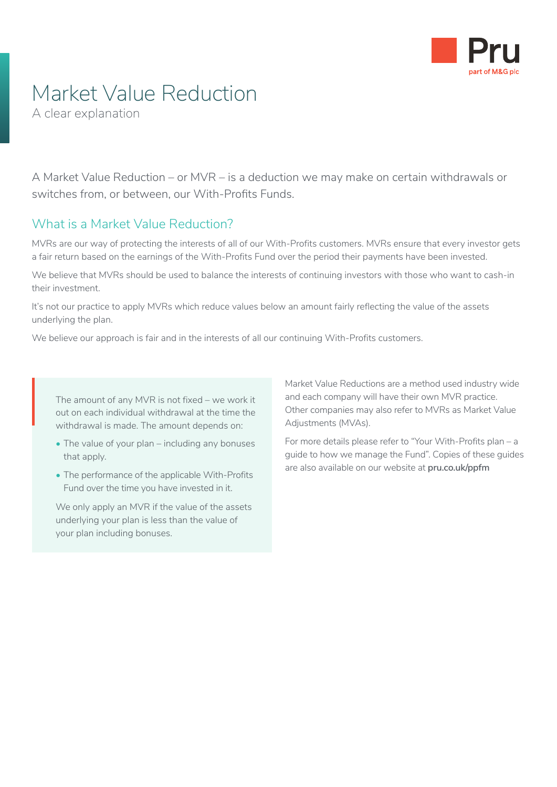

## Market Value Reduction

A clear explanation

A Market Value Reduction – or MVR – is a deduction we may make on certain withdrawals or switches from, or between, our With-Profits Funds.

#### What is a Market Value Reduction?

MVRs are our way of protecting the interests of all of our With-Profits customers. MVRs ensure that every investor gets a fair return based on the earnings of the With-Profits Fund over the period their payments have been invested.

We believe that MVRs should be used to balance the interests of continuing investors with those who want to cash-in their investment.

It's not our practice to apply MVRs which reduce values below an amount fairly reflecting the value of the assets underlying the plan.

We believe our approach is fair and in the interests of all our continuing With-Profits customers.

The amount of any MVR is not fixed – we work it out on each individual withdrawal at the time the withdrawal is made. The amount depends on: The<br>out<br>wit

- The value of your plan including any bonuses that apply.
- The performance of the applicable With-Profits Fund over the time you have invested in it.

We only apply an MVR if the value of the assets underlying your plan is less than the value of your plan including bonuses.

Market Value Reductions are a method used industry wide and each company will have their own MVR practice. Other companies may also refer to MVRs as Market Value Adjustments (MVAs).

For more details please refer to "Your With-Profits plan – a guide to how we manage the Fund". Copies of these guides are also available on our website at **[pru.co.uk/ppfm](http://www.pru.co.uk/ppfm)**